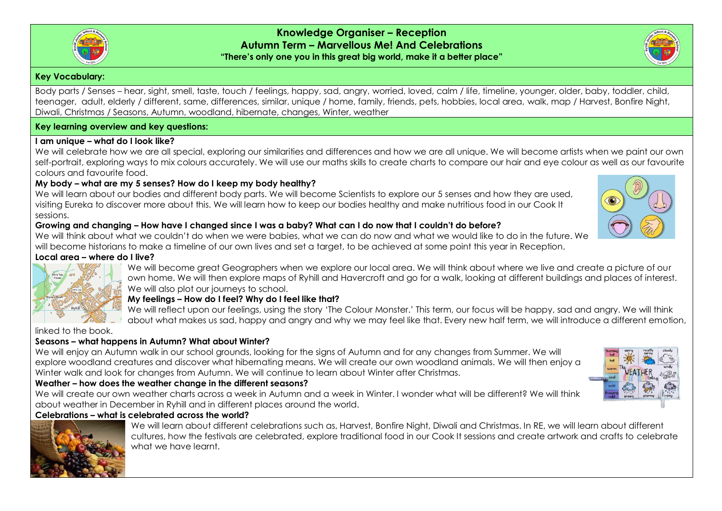

#### **Key Vocabulary:**

Body parts / Senses – hear, sight, smell, taste, touch / feelings, happy, sad, angry, worried, loved, calm / life, timeline, younger, older, baby, toddler, child, teenager, adult, elderly / different, same, differences, similar, unique / home, family, friends, pets, hobbies, local area, walk, map / Harvest, Bonfire Night, Diwali, Christmas / Seasons, Autumn, woodland, hibernate, changes, Winter, weather

## **Key learning overview and key questions:**

## **I am unique – what do I look like?**

We will celebrate how we are all special, exploring our similarities and differences and how we are all unique. We will become artists when we paint our own self-portrait, exploring ways to mix colours accurately. We will use our maths skills to create charts to compare our hair and eye colour as well as our favourite colours and favourite food.

## **My body – what are my 5 senses? How do I keep my body healthy?**

We will learn about our bodies and different body parts. We will become Scientists to explore our 5 senses and how they are used, visiting Eureka to discover more about this. We will learn how to keep our bodies healthy and make nutritious food in our Cook It sessions.

#### **Growing and changing – How have I changed since I was a baby? What can I do now that I couldn't do before?**

We will think about what we couldn't do when we were babies, what we can do now and what we would like to do in the future. We will become historians to make a timeline of our own lives and set a target, to be achieved at some point this year in Reception.

#### **Local area – where do I live?**

We will become great Geographers when we explore our local area. We will think about where we live and create a picture of our own home. We will then explore maps of Ryhill and Havercroft and go for a walk, looking at different buildings and places of interest. We will also plot our journeys to school.

## **My feelings – How do I feel? Why do I feel like that?**

We will reflect upon our feelings, using the story 'The Colour Monster.' This term, our focus will be happy, sad and angry. We will think about what makes us sad, happy and angry and why we may feel like that. Every new half term, we will introduce a different emotion,

linked to the book.

# **Seasons – what happens in Autumn? What about Winter?**

We will enjoy an Autumn walk in our school grounds, looking for the signs of Autumn and for any changes from Summer. We will explore woodland creatures and discover what hibernating means. We will create our own woodland animals. We will then enjoy a Winter walk and look for changes from Autumn. We will continue to learn about Winter after Christmas.

# **Weather – how does the weather change in the different seasons?**

We will create our own weather charts across a week in Autumn and a week in Winter. I wonder what will be different? We will think about weather in December in Ryhill and in different places around the world.

# **Celebrations – what is celebrated across the world?**

We will learn about different celebrations such as, Harvest, Bonfire Night, Diwali and Christmas. In RE, we will learn about different cultures, how the festivals are celebrated, explore traditional food in our Cook It sessions and create artwork and crafts to celebrate what we have learnt.



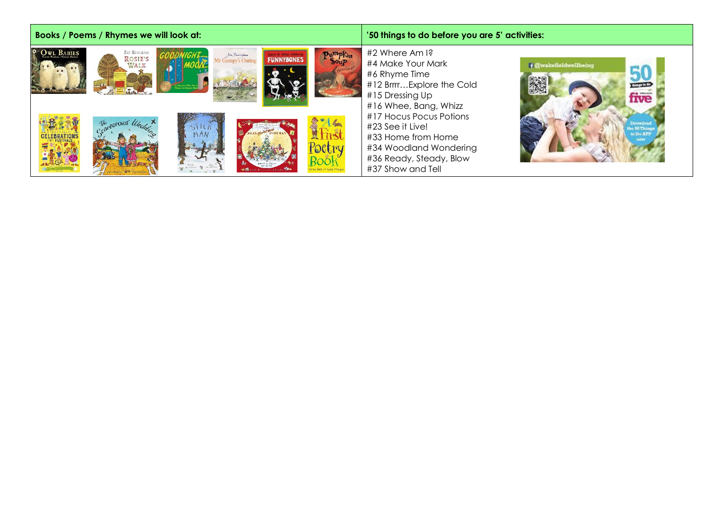